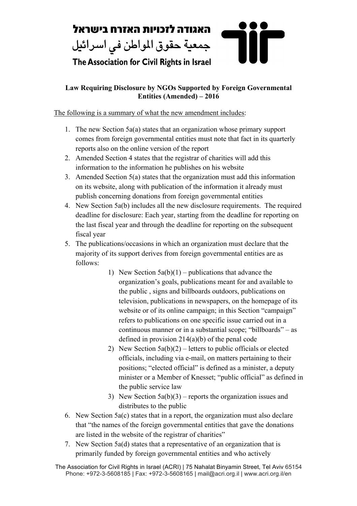

## **Law Requiring Disclosure by NGOs Supported by Foreign Governmental Entities (Amended) – 2016**

The following is a summary of what the new amendment includes:

- 1. The new Section 5a(a) states that an organization whose primary support comes from foreign governmental entities must note that fact in its quarterly reports also on the online version of the report
- 2. Amended Section 4 states that the registrar of charities will add this information to the information he publishes on his website
- 3. Amended Section 5(a) states that the organization must add this information on its website, along with publication of the information it already must publish concerning donations from foreign governmental entities
- 4. New Section 5a(b) includes all the new disclosure requirements. The required deadline for disclosure: Each year, starting from the deadline for reporting on the last fiscal year and through the deadline for reporting on the subsequent fiscal year
- 5. The publications/occasions in which an organization must declare that the majority of its support derives from foreign governmental entities are as follows:
	- 1) New Section  $5a(b)(1)$  publications that advance the organization's goals, publications meant for and available to the public , signs and billboards outdoors, publications on television, publications in newspapers, on the homepage of its website or of its online campaign; in this Section "campaign" refers to publications on one specific issue carried out in a continuous manner or in a substantial scope; "billboards" – as defined in provision  $214(a)(b)$  of the penal code
	- 2) New Section  $5a(b)(2)$  letters to public officials or elected officials, including via e-mail, on matters pertaining to their positions; "elected official" is defined as a minister, a deputy minister or a Member of Knesset; "public official" as defined in the public service law
	- 3) New Section  $5a(b)(3)$  reports the organization issues and distributes to the public
- 6. New Section 5a(c) states that in a report, the organization must also declare that "the names of the foreign governmental entities that gave the donations are listed in the website of the registrar of charities"
- 7. New Section 5a(d) states that a representative of an organization that is primarily funded by foreign governmental entities and who actively

The Association for Civil Rights in Israel (ACRI) | 75 Nahalat Binyamin Street, Tel Aviv 65154 Phone: +972-3-5608185 | Fax: +972-3-5608165 | mail@acri.org.il | www.acri.org.il/en